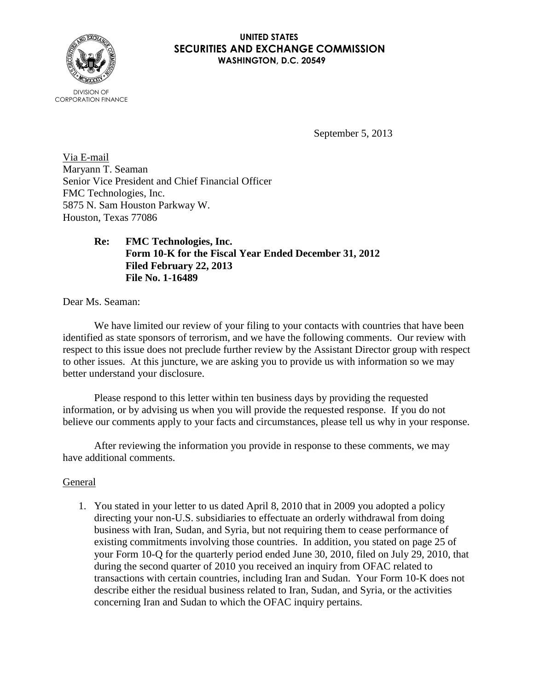

## **UNITED STATES SECURITIES AND EXCHANGE COMMISSION WASHINGTON, D.C. 20549**

September 5, 2013

Via E-mail Maryann T. Seaman Senior Vice President and Chief Financial Officer FMC Technologies, Inc. 5875 N. Sam Houston Parkway W. Houston, Texas 77086

> **Re: FMC Technologies, Inc. Form 10-K for the Fiscal Year Ended December 31, 2012 Filed February 22, 2013 File No. 1-16489**

Dear Ms. Seaman:

We have limited our review of your filing to your contacts with countries that have been identified as state sponsors of terrorism, and we have the following comments. Our review with respect to this issue does not preclude further review by the Assistant Director group with respect to other issues.At this juncture, we are asking you to provide us with information so we may better understand your disclosure.

Please respond to this letter within ten business days by providing the requested information, or by advising us when you will provide the requested response. If you do not believe our comments apply to your facts and circumstances, please tell us why in your response.

After reviewing the information you provide in response to these comments, we may have additional comments.

## General

1. You stated in your letter to us dated April 8, 2010 that in 2009 you adopted a policy directing your non-U.S. subsidiaries to effectuate an orderly withdrawal from doing business with Iran, Sudan, and Syria, but not requiring them to cease performance of existing commitments involving those countries. In addition, you stated on page 25 of your Form 10-Q for the quarterly period ended June 30, 2010, filed on July 29, 2010, that during the second quarter of 2010 you received an inquiry from OFAC related to transactions with certain countries, including Iran and Sudan. Your Form 10-K does not describe either the residual business related to Iran, Sudan, and Syria, or the activities concerning Iran and Sudan to which the OFAC inquiry pertains.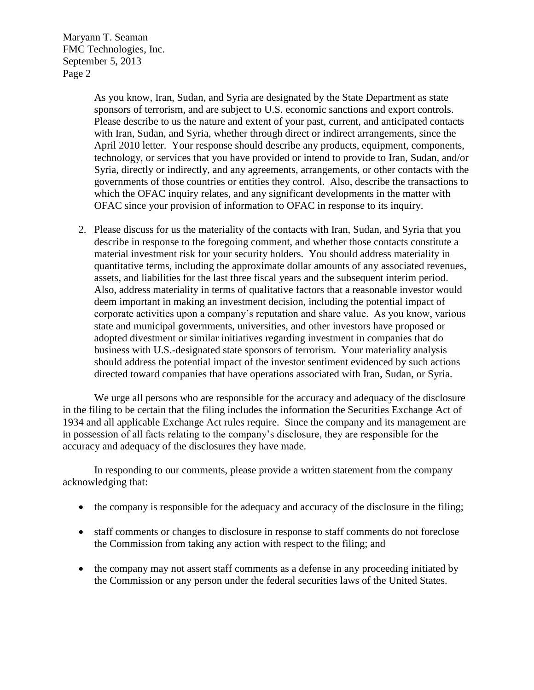Maryann T. Seaman FMC Technologies, Inc. September 5, 2013 Page 2

> As you know, Iran, Sudan, and Syria are designated by the State Department as state sponsors of terrorism, and are subject to U.S. economic sanctions and export controls. Please describe to us the nature and extent of your past, current, and anticipated contacts with Iran, Sudan, and Syria, whether through direct or indirect arrangements, since the April 2010 letter. Your response should describe any products, equipment, components, technology, or services that you have provided or intend to provide to Iran, Sudan, and/or Syria, directly or indirectly, and any agreements, arrangements, or other contacts with the governments of those countries or entities they control. Also, describe the transactions to which the OFAC inquiry relates, and any significant developments in the matter with OFAC since your provision of information to OFAC in response to its inquiry.

2. Please discuss for us the materiality of the contacts with Iran, Sudan, and Syria that you describe in response to the foregoing comment, and whether those contacts constitute a material investment risk for your security holders. You should address materiality in quantitative terms, including the approximate dollar amounts of any associated revenues, assets, and liabilities for the last three fiscal years and the subsequent interim period. Also, address materiality in terms of qualitative factors that a reasonable investor would deem important in making an investment decision, including the potential impact of corporate activities upon a company's reputation and share value. As you know, various state and municipal governments, universities, and other investors have proposed or adopted divestment or similar initiatives regarding investment in companies that do business with U.S.-designated state sponsors of terrorism. Your materiality analysis should address the potential impact of the investor sentiment evidenced by such actions directed toward companies that have operations associated with Iran, Sudan, or Syria.

We urge all persons who are responsible for the accuracy and adequacy of the disclosure in the filing to be certain that the filing includes the information the Securities Exchange Act of 1934 and all applicable Exchange Act rules require. Since the company and its management are in possession of all facts relating to the company's disclosure, they are responsible for the accuracy and adequacy of the disclosures they have made.

In responding to our comments, please provide a written statement from the company acknowledging that:

- the company is responsible for the adequacy and accuracy of the disclosure in the filing;
- staff comments or changes to disclosure in response to staff comments do not foreclose the Commission from taking any action with respect to the filing; and
- the company may not assert staff comments as a defense in any proceeding initiated by the Commission or any person under the federal securities laws of the United States.